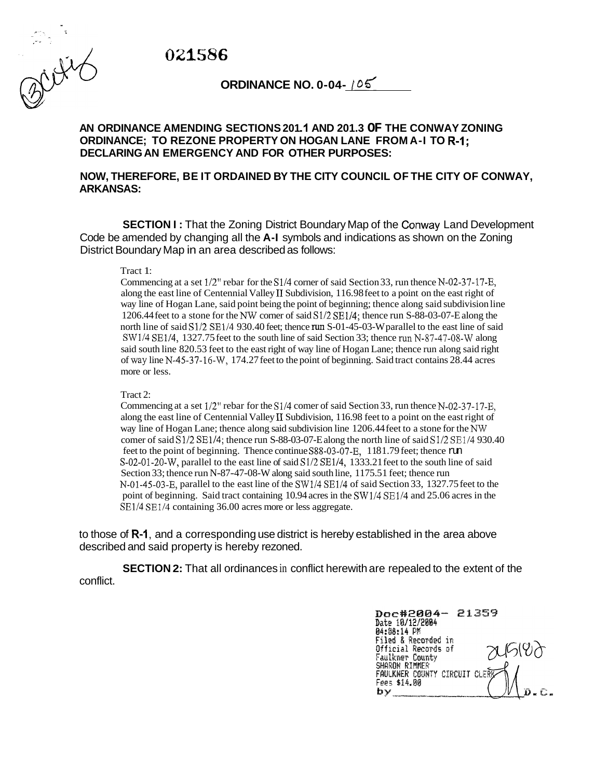*022586* 



**ORDINANCE NO. 0-04- / 05** 

## **AN ORDINANCE AMENDING SECTIONS 201 .I AND 201.3 OF THE CONWAY ZONING DECLARING AN EMERGENCY AND FOR OTHER PURPOSES: ORDINANCE; TO REZONE PROPERTY ON HOGAN LANE FROM A-I TO R-I;**

## **NOW, THEREFORE, BE IT ORDAINED BY THE CITY COUNCIL OF THE CITY OF CONWAY, ARKANSAS:**

**SECTION I:** That the Zoning District Boundary Map of the Conway Land Development Code be amended by changing all the **A-I** symbols and indications as shown on the Zoning District Boundary Map in an area described as follows:

## Tract 1:

Commencing at a set 1/2" rebar for the S1/4 corner of said Section 33, run thence N-02-37-17-E, along the east line of Centennial Valley I1 Subdivision, 116.98 feet to a point on the east right of way line of Hogan Lane, said point being the point of beginning; thence along said subdivision line 1206.44 feet to a stone for the *NW* corner of said S1/2 SE1/4; thence run S-88-03-07-E along the north line of said  $\frac{S1}{2}$  SE1/4 930.40 feet; thence run S-01-45-03-W parallel to the east line of said  $SW1/4$  SE $1/4$ , 1327.75 feet to the south line of said Section 33; thence run N-87-47-08-W along said south line 820.53 feet to the east right of way line of Hogan Lane; thence run along said right of way line N-45-37-16-W, 174.27 feet to the point of beginning. Said tract contains 28.44 acres more or less.

## Tract 2:

Commencing at a set 1/2" rebar for the S1/4 comer of said Section 33, run thence N-02-37-17-E, along the east line of Centennial Valley II Subdivision, 116.98 feet to a point on the east right of way line of Hogan Lane; thence along said subdivision line 1206.44 feet to a stone for the *NW*  comer of said S1/2 SE1/4; thence run S-88-03-07-E along the north line of said S1/2 SE1/4 930.40 feet to the point of beginning. Thence continue S88-03-07-E, 1181.79 feet; thence run S-02-01-20-W, parallel to the east line of said S1/2 SE1/4, 1333.21 feet to the south line of said Section 33; thence run N-87-47-08-W along said south line, 1175.5 1 feet; thence run N-01-45-03-E, parallel to the east line of the SW1/4 SE1/4 of said Section 33, 1327.75 feet to the point of beginning. Said tract containing 10.94 acres in the SW1/4 SE1/4 and 25.06 acres in the SE1/4 SE1/4 containing 36.00 acres more or less aggregate.

to those of **R-I,** and a corresponding use district is hereby established in the area above described and said property is hereby rezoned.

conflict. **SECTION 2:** That all ordinances in conflict herewith are repealed to the extent of the

Doc#2004- 21359 Date 10/12/2004 04:88:14 PM Filed & Recorded in Official Records of ALG(YA Faulkner County **SHARDN RIMMER<br>FAULKNER COUNTY CIRCUIT CLE** Fees \$14.00 by -